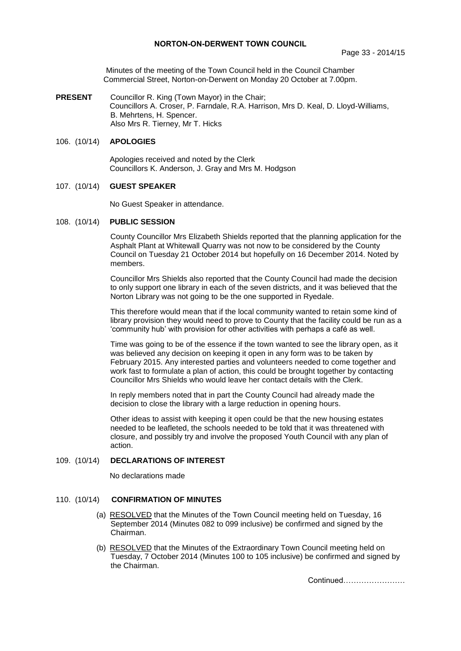## **NORTON-ON-DERWENT TOWN COUNCIL**

Minutes of the meeting of the Town Council held in the Council Chamber Commercial Street, Norton-on-Derwent on Monday 20 October at 7.00pm.

**PRESENT** Councillor R. King (Town Mayor) in the Chair; Councillors A. Croser, P. Farndale, R.A. Harrison, Mrs D. Keal, D. Lloyd-Williams, B. Mehrtens, H. Spencer. Also Mrs R. Tierney, Mr T. Hicks

## 106. (10/14) **APOLOGIES**

 Apologies received and noted by the Clerk Councillors K. Anderson, J. Gray and Mrs M. Hodgson

#### 107. (10/14) **GUEST SPEAKER**

No Guest Speaker in attendance.

#### 108. (10/14) **PUBLIC SESSION**

County Councillor Mrs Elizabeth Shields reported that the planning application for the Asphalt Plant at Whitewall Quarry was not now to be considered by the County Council on Tuesday 21 October 2014 but hopefully on 16 December 2014. Noted by members.

Councillor Mrs Shields also reported that the County Council had made the decision to only support one library in each of the seven districts, and it was believed that the Norton Library was not going to be the one supported in Ryedale.

This therefore would mean that if the local community wanted to retain some kind of library provision they would need to prove to County that the facility could be run as a 'community hub' with provision for other activities with perhaps a café as well.

Time was going to be of the essence if the town wanted to see the library open, as it was believed any decision on keeping it open in any form was to be taken by February 2015. Any interested parties and volunteers needed to come together and work fast to formulate a plan of action, this could be brought together by contacting Councillor Mrs Shields who would leave her contact details with the Clerk.

In reply members noted that in part the County Council had already made the decision to close the library with a large reduction in opening hours.

Other ideas to assist with keeping it open could be that the new housing estates needed to be leafleted, the schools needed to be told that it was threatened with closure, and possibly try and involve the proposed Youth Council with any plan of action.

## 109. (10/14) **DECLARATIONS OF INTEREST**

No declarations made

#### 110. (10/14) **CONFIRMATION OF MINUTES**

- (a) RESOLVED that the Minutes of the Town Council meeting held on Tuesday, 16 September 2014 (Minutes 082 to 099 inclusive) be confirmed and signed by the Chairman.
- (b) RESOLVED that the Minutes of the Extraordinary Town Council meeting held on Tuesday, 7 October 2014 (Minutes 100 to 105 inclusive) be confirmed and signed by the Chairman.

Continued……………………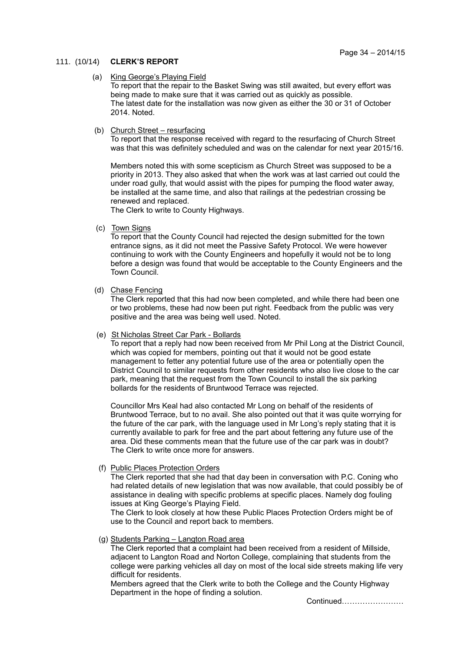## 111. (10/14) **CLERK'S REPORT**

## (a) King George's Playing Field

To report that the repair to the Basket Swing was still awaited, but every effort was being made to make sure that it was carried out as quickly as possible. The latest date for the installation was now given as either the 30 or 31 of October 2014. Noted.

## (b) Church Street – resurfacing

To report that the response received with regard to the resurfacing of Church Street was that this was definitely scheduled and was on the calendar for next year 2015/16.

Members noted this with some scepticism as Church Street was supposed to be a priority in 2013. They also asked that when the work was at last carried out could the under road gully, that would assist with the pipes for pumping the flood water away, be installed at the same time, and also that railings at the pedestrian crossing be renewed and replaced.

The Clerk to write to County Highways.

(c) Town Signs

To report that the County Council had rejected the design submitted for the town entrance signs, as it did not meet the Passive Safety Protocol. We were however continuing to work with the County Engineers and hopefully it would not be to long before a design was found that would be acceptable to the County Engineers and the Town Council.

## (d) Chase Fencing

The Clerk reported that this had now been completed, and while there had been one or two problems, these had now been put right. Feedback from the public was very positive and the area was being well used. Noted.

## (e) St Nicholas Street Car Park - Bollards

To report that a reply had now been received from Mr Phil Long at the District Council, which was copied for members, pointing out that it would not be good estate management to fetter any potential future use of the area or potentially open the District Council to similar requests from other residents who also live close to the car park, meaning that the request from the Town Council to install the six parking bollards for the residents of Bruntwood Terrace was rejected.

Councillor Mrs Keal had also contacted Mr Long on behalf of the residents of Bruntwood Terrace, but to no avail. She also pointed out that it was quite worrying for the future of the car park, with the language used in Mr Long's reply stating that it is currently available to park for free and the part about fettering any future use of the area. Did these comments mean that the future use of the car park was in doubt? The Clerk to write once more for answers.

## (f) Public Places Protection Orders

The Clerk reported that she had that day been in conversation with P.C. Coning who had related details of new legislation that was now available, that could possibly be of assistance in dealing with specific problems at specific places. Namely dog fouling issues at King George's Playing Field.

The Clerk to look closely at how these Public Places Protection Orders might be of use to the Council and report back to members.

## (g) Students Parking – Langton Road area

The Clerk reported that a complaint had been received from a resident of Millside, adjacent to Langton Road and Norton College, complaining that students from the college were parking vehicles all day on most of the local side streets making life very difficult for residents.

Members agreed that the Clerk write to both the College and the County Highway Department in the hope of finding a solution.

Continued……………………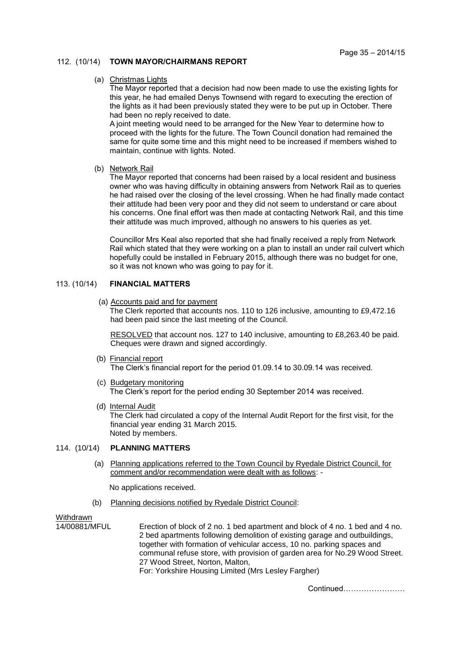## 112. (10/14) **TOWN MAYOR/CHAIRMANS REPORT**

#### (a) Christmas Lights

The Mayor reported that a decision had now been made to use the existing lights for this year, he had emailed Denys Townsend with regard to executing the erection of the lights as it had been previously stated they were to be put up in October. There had been no reply received to date.

A joint meeting would need to be arranged for the New Year to determine how to proceed with the lights for the future. The Town Council donation had remained the same for quite some time and this might need to be increased if members wished to maintain, continue with lights. Noted.

## (b) Network Rail

The Mayor reported that concerns had been raised by a local resident and business owner who was having difficulty in obtaining answers from Network Rail as to queries he had raised over the closing of the level crossing. When he had finally made contact their attitude had been very poor and they did not seem to understand or care about his concerns. One final effort was then made at contacting Network Rail, and this time their attitude was much improved, although no answers to his queries as yet.

Councillor Mrs Keal also reported that she had finally received a reply from Network Rail which stated that they were working on a plan to install an under rail culvert which hopefully could be installed in February 2015, although there was no budget for one, so it was not known who was going to pay for it.

## 113. (10/14) **FINANCIAL MATTERS**

## (a) Accounts paid and for payment

The Clerk reported that accounts nos. 110 to 126 inclusive, amounting to £9,472.16 had been paid since the last meeting of the Council.

 RESOLVED that account nos. 127 to 140 inclusive, amounting to £8,263.40 be paid. Cheques were drawn and signed accordingly.

(b) Financial report

The Clerk's financial report for the period 01.09.14 to 30.09.14 was received.

- (c) Budgetary monitoring The Clerk's report for the period ending 30 September 2014 was received.
- (d) Internal Audit

The Clerk had circulated a copy of the Internal Audit Report for the first visit, for the financial year ending 31 March 2015. Noted by members.

#### 114. (10/14) **PLANNING MATTERS**

 (a) Planning applications referred to the Town Council by Ryedale District Council, for comment and/or recommendation were dealt with as follows: -

No applications received.

(b) Planning decisions notified by Ryedale District Council:

Withdrawn

14/00881/MFUL Erection of block of 2 no. 1 bed apartment and block of 4 no. 1 bed and 4 no. 2 bed apartments following demolition of existing garage and outbuildings, together with formation of vehicular access, 10 no. parking spaces and communal refuse store, with provision of garden area for No.29 Wood Street. 27 Wood Street, Norton, Malton,

For: Yorkshire Housing Limited (Mrs Lesley Fargher)

Continued……………………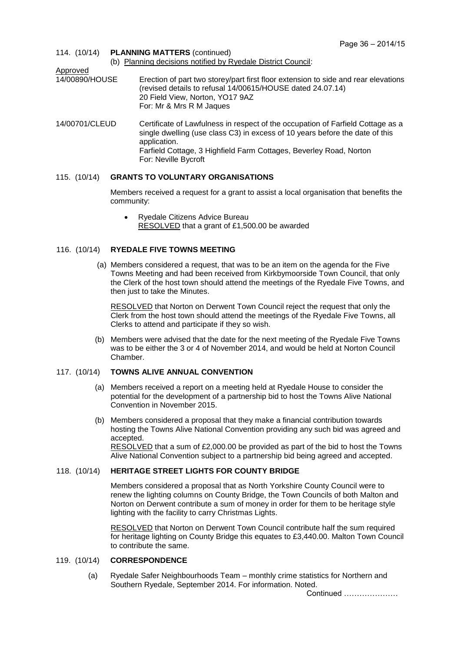114. (10/14) **PLANNING MATTERS** (continued) (b) Planning decisions notified by Ryedale District Council: Approved<br>14/00890/HOUSE Erection of part two storey/part first floor extension to side and rear elevations (revised details to refusal 14/00615/HOUSE dated 24.07.14) 20 Field View, Norton, YO17 9AZ For: Mr & Mrs R M Jaques 14/00701/CLEUD Certificate of Lawfulness in respect of the occupation of Farfield Cottage as a

single dwelling (use class C3) in excess of 10 years before the date of this application. Farfield Cottage, 3 Highfield Farm Cottages, Beverley Road, Norton For: Neville Bycroft

## 115. (10/14) **GRANTS TO VOLUNTARY ORGANISATIONS**

Members received a request for a grant to assist a local organisation that benefits the community:

 Ryedale Citizens Advice Bureau RESOLVED that a grant of £1,500.00 be awarded

## 116. (10/14) **RYEDALE FIVE TOWNS MEETING**

 (a) Members considered a request, that was to be an item on the agenda for the Five Towns Meeting and had been received from Kirkbymoorside Town Council, that only the Clerk of the host town should attend the meetings of the Ryedale Five Towns, and then just to take the Minutes.

RESOLVED that Norton on Derwent Town Council reject the request that only the Clerk from the host town should attend the meetings of the Ryedale Five Towns, all Clerks to attend and participate if they so wish.

 (b) Members were advised that the date for the next meeting of the Ryedale Five Towns was to be either the 3 or 4 of November 2014, and would be held at Norton Council Chamber.

# 117. (10/14) **TOWNS ALIVE ANNUAL CONVENTION**

- (a) Members received a report on a meeting held at Ryedale House to consider the potential for the development of a partnership bid to host the Towns Alive National Convention in November 2015.
- (b) Members considered a proposal that they make a financial contribution towards hosting the Towns Alive National Convention providing any such bid was agreed and accepted. RESOLVED that a sum of £2,000.00 be provided as part of the bid to host the Towns

Alive National Convention subject to a partnership bid being agreed and accepted.

# 118. (10/14) **HERITAGE STREET LIGHTS FOR COUNTY BRIDGE**

Members considered a proposal that as North Yorkshire County Council were to renew the lighting columns on County Bridge, the Town Councils of both Malton and Norton on Derwent contribute a sum of money in order for them to be heritage style lighting with the facility to carry Christmas Lights.

RESOLVED that Norton on Derwent Town Council contribute half the sum required for heritage lighting on County Bridge this equates to £3,440.00. Malton Town Council to contribute the same.

#### 119. (10/14) **CORRESPONDENCE**

(a) Ryedale Safer Neighbourhoods Team – monthly crime statistics for Northern and Southern Ryedale, September 2014. For information. Noted.

Continued …………………